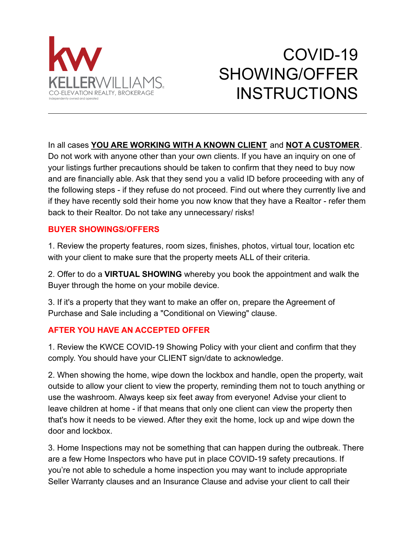

# COVID-19 SHOWING/OFFER **INSTRUCTIONS**

## In all cases **YOU ARE WORKING WITH A KNOWN CLIENT** and **NOT A CUSTOMER**.

Do not work with anyone other than your own clients. If you have an inquiry on one of your listings further precautions should be taken to confirm that they need to buy now and are financially able. Ask that they send you a valid ID before proceeding with any of the following steps - if they refuse do not proceed. Find out where they currently live and if they have recently sold their home you now know that they have a Realtor - refer them back to their Realtor. Do not take any unnecessary/ risks!

### **BUYER SHOWINGS/OFFERS**

1. Review the property features, room sizes, finishes, photos, virtual tour, location etc with your client to make sure that the property meets ALL of their criteria.

2. Offer to do a **VIRTUAL SHOWING** whereby you book the appointment and walk the Buyer through the home on your mobile device.

3. If it's a property that they want to make an offer on, prepare the Agreement of Purchase and Sale including a "Conditional on Viewing" clause.

## **AFTER YOU HAVE AN ACCEPTED OFFER**

1. Review the KWCE COVID-19 Showing Policy with your client and confirm that they comply. You should have your CLIENT sign/date to acknowledge.

2. When showing the home, wipe down the lockbox and handle, open the property, wait outside to allow your client to view the property, reminding them not to touch anything or use the washroom. Always keep six feet away from everyone! Advise your client to leave children at home - if that means that only one client can view the property then that's how it needs to be viewed. After they exit the home, lock up and wipe down the door and lockbox.

3. Home Inspections may not be something that can happen during the outbreak. There are a few Home Inspectors who have put in place COVID-19 safety precautions. If you're not able to schedule a home inspection you may want to include appropriate Seller Warranty clauses and an Insurance Clause and advise your client to call their